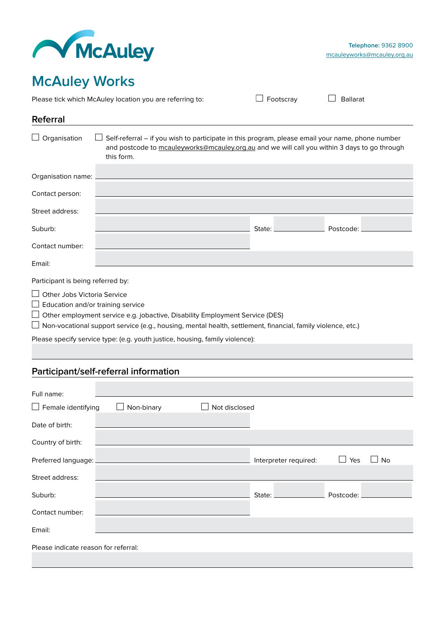

## **McAuley Works**

Please tick which McAuley location you are referring to:  $\square$  Footscray  $\square$  Ballarat

| Referral                           |                                                                                                                                                                                                                |  |        |           |  |  |
|------------------------------------|----------------------------------------------------------------------------------------------------------------------------------------------------------------------------------------------------------------|--|--------|-----------|--|--|
| $\Box$ Organisation                | Self-referral - if you wish to participate in this program, please email your name, phone number<br>and postcode to mcauleyworks@mcauley.org.au and we will call you within 3 days to go through<br>this form. |  |        |           |  |  |
| Organisation name:                 |                                                                                                                                                                                                                |  |        |           |  |  |
| Contact person:                    |                                                                                                                                                                                                                |  |        |           |  |  |
| Street address:                    |                                                                                                                                                                                                                |  |        |           |  |  |
| Suburb:                            |                                                                                                                                                                                                                |  | State: | Postcode: |  |  |
| Contact number:                    |                                                                                                                                                                                                                |  |        |           |  |  |
| Email:                             |                                                                                                                                                                                                                |  |        |           |  |  |
| Participant is being referred by:  |                                                                                                                                                                                                                |  |        |           |  |  |
| <b>Other Jobs Victoria Service</b> |                                                                                                                                                                                                                |  |        |           |  |  |
|                                    | Education and/or training service                                                                                                                                                                              |  |        |           |  |  |
|                                    | $\Box$ Non-vocational support service (e.g., housing, mental health, settlement, financial, family violence, etc.)                                                                                             |  |        |           |  |  |
|                                    | Please specify service type: (e.g. youth justice, housing, family violence):                                                                                                                                   |  |        |           |  |  |

## **Participant/self-referral information** Full name:  $\Box$  Female identifying  $\Box$  Non-binary  $\Box$  Not disclosed Date of birth: Country of birth: Preferred language: <u>November 2008</u> September 2014 and the University Preferred: The Ves No Street address: Suburb: State: Postcode: Contact number: Email: Please indicate reason for referral: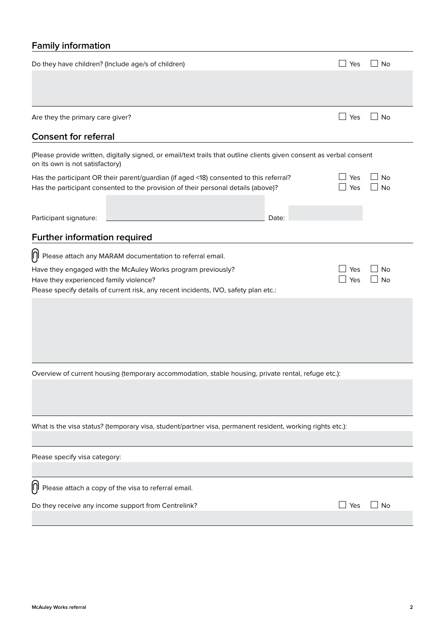## **Family information**

| Do they have children? (Include age/s of children)                                                                                                      |       | Yes | No        |  |  |  |  |  |
|---------------------------------------------------------------------------------------------------------------------------------------------------------|-------|-----|-----------|--|--|--|--|--|
|                                                                                                                                                         |       |     |           |  |  |  |  |  |
|                                                                                                                                                         |       |     |           |  |  |  |  |  |
|                                                                                                                                                         |       |     |           |  |  |  |  |  |
| Are they the primary care giver?                                                                                                                        |       | Yes | No        |  |  |  |  |  |
| <b>Consent for referral</b>                                                                                                                             |       |     |           |  |  |  |  |  |
| (Please provide written, digitally signed, or email/text trails that outline clients given consent as verbal consent<br>on its own is not satisfactory) |       |     |           |  |  |  |  |  |
| Has the participant OR their parent/guardian (if aged <18) consented to this referral?                                                                  |       | Yes | No        |  |  |  |  |  |
| Has the participant consented to the provision of their personal details (above)?                                                                       | Yes   | No  |           |  |  |  |  |  |
|                                                                                                                                                         |       |     |           |  |  |  |  |  |
| Participant signature:                                                                                                                                  | Date: |     |           |  |  |  |  |  |
| Further information required                                                                                                                            |       |     |           |  |  |  |  |  |
|                                                                                                                                                         |       |     |           |  |  |  |  |  |
| $\left[\bigcap\right]$ Please attach any MARAM documentation to referral email.                                                                         |       |     |           |  |  |  |  |  |
| Have they engaged with the McAuley Works program previously?                                                                                            |       | Yes | No        |  |  |  |  |  |
| Have they experienced family violence?                                                                                                                  |       | Yes | <b>No</b> |  |  |  |  |  |
| Please specify details of current risk, any recent incidents, IVO, safety plan etc.:                                                                    |       |     |           |  |  |  |  |  |
|                                                                                                                                                         |       |     |           |  |  |  |  |  |
|                                                                                                                                                         |       |     |           |  |  |  |  |  |
|                                                                                                                                                         |       |     |           |  |  |  |  |  |
|                                                                                                                                                         |       |     |           |  |  |  |  |  |
|                                                                                                                                                         |       |     |           |  |  |  |  |  |
| Overview of current housing (temporary accommodation, stable housing, private rental, refuge etc.):                                                     |       |     |           |  |  |  |  |  |
|                                                                                                                                                         |       |     |           |  |  |  |  |  |
|                                                                                                                                                         |       |     |           |  |  |  |  |  |
|                                                                                                                                                         |       |     |           |  |  |  |  |  |
| What is the visa status? (temporary visa, student/partner visa, permanent resident, working rights etc.):                                               |       |     |           |  |  |  |  |  |
|                                                                                                                                                         |       |     |           |  |  |  |  |  |
| Please specify visa category:                                                                                                                           |       |     |           |  |  |  |  |  |
|                                                                                                                                                         |       |     |           |  |  |  |  |  |
| IJΙ<br>Please attach a copy of the visa to referral email.                                                                                              |       |     |           |  |  |  |  |  |
| Do they receive any income support from Centrelink?                                                                                                     |       | Yes | <b>No</b> |  |  |  |  |  |
|                                                                                                                                                         |       |     |           |  |  |  |  |  |
|                                                                                                                                                         |       |     |           |  |  |  |  |  |